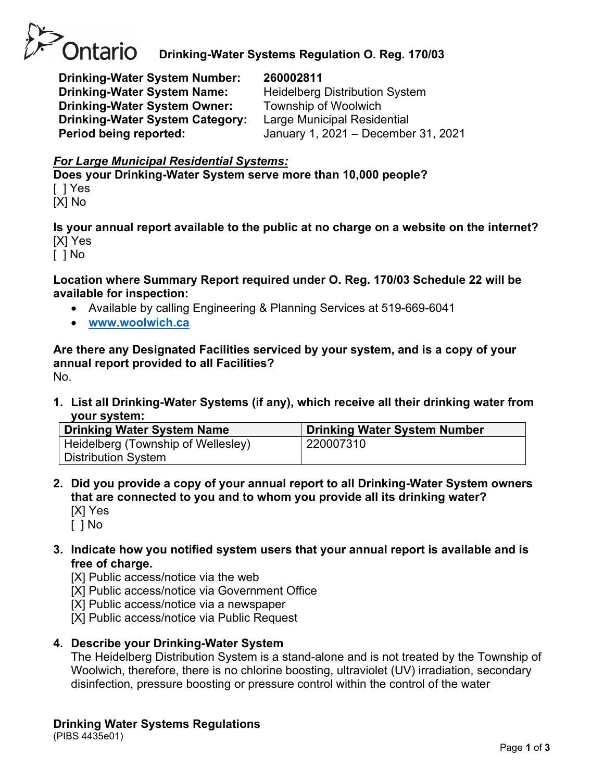

**Drinking-Water System Number: 260002811 Drinking-Water System Name:** Heidelberg Distribution System **Drinking-Water System Owner:** Township of Woolwich **Drinking-Water System Category:** Large Municipal Residential

**Period being reported:** January 1, 2021 – December 31, 2021

## *For Large Municipal Residential Systems:*

**Does your Drinking-Water System serve more than 10,000 people?** [ ] Yes

[X] No

**Is your annual report available to the public at no charge on a website on the internet?** [X] Yes

[ ] No

**Location where Summary Report required under O. Reg. 170/03 Schedule 22 will be available for inspection:**

- Available by calling Engineering & Planning Services at 519-669-6041
- **[www.woolwich.ca](http://www.woolwich.ca/)**

**Are there any Designated Facilities serviced by your system, and is a copy of your annual report provided to all Facilities?** No.

**1. List all Drinking-Water Systems (if any), which receive all their drinking water from your system:**

| <b>Drinking Water System Name</b>  | <b>Drinking Water System Number</b> |
|------------------------------------|-------------------------------------|
| Heidelberg (Township of Wellesley) | 220007310                           |
| <b>Distribution System</b>         |                                     |

**2. Did you provide a copy of your annual report to all Drinking-Water System owners that are connected to you and to whom you provide all its drinking water?**  [X] Yes

[ ] No

**3. Indicate how you notified system users that your annual report is available and is free of charge.** 

[X] Public access/notice via the web

- [X] Public access/notice via Government Office
- [X] Public access/notice via a newspaper
- [X] Public access/notice via Public Request
- **4. Describe your Drinking-Water System**

The Heidelberg Distribution System is a stand-alone and is not treated by the Township of Woolwich, therefore, there is no chlorine boosting, ultraviolet (UV) irradiation, secondary disinfection, pressure boosting or pressure control within the control of the water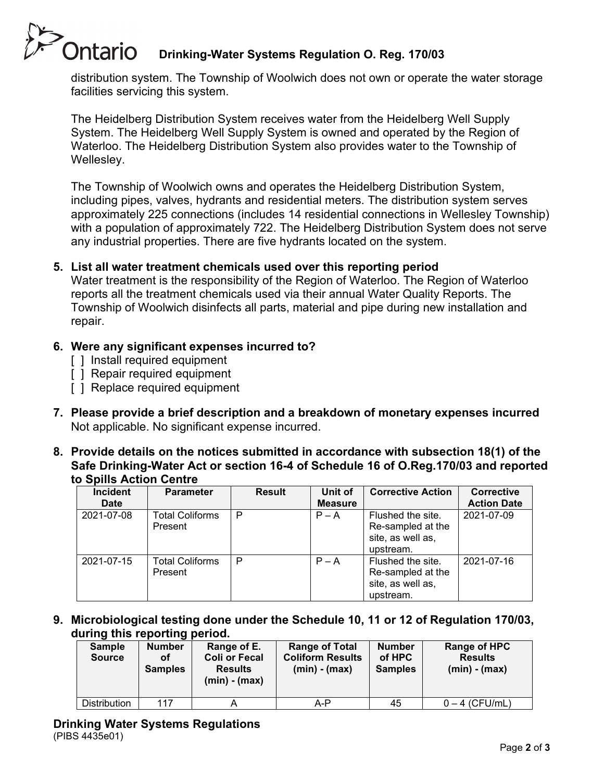# **Ontario Drinking-Water Systems Regulation O. Reg. 170/03**

distribution system. The Township of Woolwich does not own or operate the water storage facilities servicing this system.

The Heidelberg Distribution System receives water from the Heidelberg Well Supply System. The Heidelberg Well Supply System is owned and operated by the Region of Waterloo. The Heidelberg Distribution System also provides water to the Township of Wellesley.

The Township of Woolwich owns and operates the Heidelberg Distribution System, including pipes, valves, hydrants and residential meters. The distribution system serves approximately 225 connections (includes 14 residential connections in Wellesley Township) with a population of approximately 722. The Heidelberg Distribution System does not serve any industrial properties. There are five hydrants located on the system.

## **5. List all water treatment chemicals used over this reporting period**

Water treatment is the responsibility of the Region of Waterloo. The Region of Waterloo reports all the treatment chemicals used via their annual Water Quality Reports. The Township of Woolwich disinfects all parts, material and pipe during new installation and repair.

# **6. Were any significant expenses incurred to?**

- [ ] Install required equipment
- [ ] Repair required equipment
- [ ] Replace required equipment
- **7. Please provide a brief description and a breakdown of monetary expenses incurred** Not applicable. No significant expense incurred.
- **8. Provide details on the notices submitted in accordance with subsection 18(1) of the Safe Drinking-Water Act or section 16-4 of Schedule 16 of O.Reg.170/03 and reported to Spills Action Centre**

| <b>Incident</b><br><b>Date</b> | <b>Parameter</b>                  | <b>Result</b> | Unit of<br><b>Measure</b> | <b>Corrective Action</b>                                                 | <b>Corrective</b><br><b>Action Date</b> |
|--------------------------------|-----------------------------------|---------------|---------------------------|--------------------------------------------------------------------------|-----------------------------------------|
| 2021-07-08                     | <b>Total Coliforms</b><br>Present | P             | $P - A$                   | Flushed the site.<br>Re-sampled at the<br>site, as well as,<br>upstream. | 2021-07-09                              |
| 2021-07-15                     | <b>Total Coliforms</b><br>Present | P             | $P - A$                   | Flushed the site.<br>Re-sampled at the<br>site, as well as,<br>upstream. | 2021-07-16                              |

**9. Microbiological testing done under the Schedule 10, 11 or 12 of Regulation 170/03, during this reporting period.**

| <b>Sample</b><br><b>Source</b> | <b>Number</b><br>οf<br><b>Samples</b> | Range of E.<br><b>Coli or Fecal</b><br><b>Results</b><br>$(min) - (max)$ | <b>Range of Total</b><br><b>Coliform Results</b><br>$(min) - (max)$ | <b>Number</b><br>of HPC<br><b>Samples</b> | Range of HPC<br><b>Results</b><br>$(min) - (max)$ |
|--------------------------------|---------------------------------------|--------------------------------------------------------------------------|---------------------------------------------------------------------|-------------------------------------------|---------------------------------------------------|
| Distribution                   | 117                                   |                                                                          | A-P                                                                 | 45                                        | $0 - 4$ (CFU/mL)                                  |